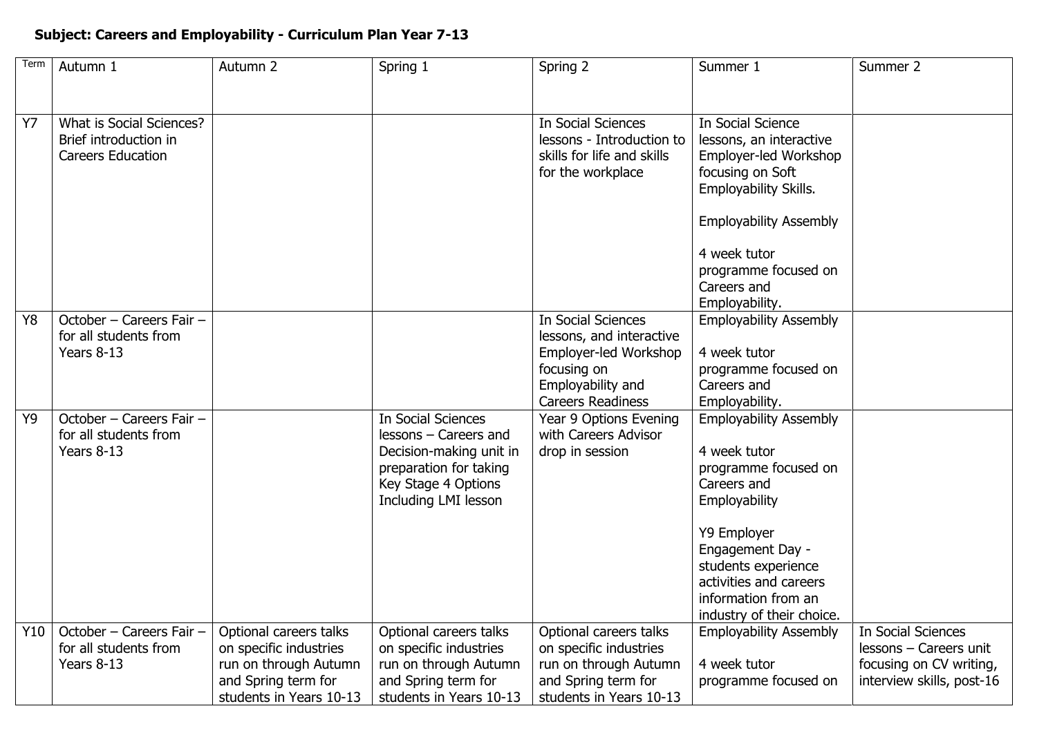## **Subject: Careers and Employability - Curriculum Plan Year 7-13**

| Term      | Autumn 1                                          | Autumn 2                                         | Spring 1                                         | Spring 2                                          | Summer 1                      | Summer 2                                     |
|-----------|---------------------------------------------------|--------------------------------------------------|--------------------------------------------------|---------------------------------------------------|-------------------------------|----------------------------------------------|
|           |                                                   |                                                  |                                                  |                                                   |                               |                                              |
| <b>Y7</b> | What is Social Sciences?                          |                                                  |                                                  | <b>In Social Sciences</b>                         | In Social Science             |                                              |
|           | Brief introduction in                             |                                                  |                                                  | lessons - Introduction to                         | lessons, an interactive       |                                              |
|           | <b>Careers Education</b>                          |                                                  |                                                  | skills for life and skills                        | Employer-led Workshop         |                                              |
|           |                                                   |                                                  |                                                  | for the workplace                                 | focusing on Soft              |                                              |
|           |                                                   |                                                  |                                                  |                                                   | Employability Skills.         |                                              |
|           |                                                   |                                                  |                                                  |                                                   | <b>Employability Assembly</b> |                                              |
|           |                                                   |                                                  |                                                  |                                                   | 4 week tutor                  |                                              |
|           |                                                   |                                                  |                                                  |                                                   | programme focused on          |                                              |
|           |                                                   |                                                  |                                                  |                                                   | Careers and                   |                                              |
|           |                                                   |                                                  |                                                  |                                                   | Employability.                |                                              |
| Y8        | October - Careers Fair -                          |                                                  |                                                  | <b>In Social Sciences</b>                         | <b>Employability Assembly</b> |                                              |
|           | for all students from<br>Years 8-13               |                                                  |                                                  | lessons, and interactive<br>Employer-led Workshop | 4 week tutor                  |                                              |
|           |                                                   |                                                  |                                                  | focusing on                                       | programme focused on          |                                              |
|           |                                                   |                                                  |                                                  | Employability and                                 | Careers and                   |                                              |
|           |                                                   |                                                  |                                                  | <b>Careers Readiness</b>                          | Employability.                |                                              |
| Y9        | October - Careers Fair -                          |                                                  | <b>In Social Sciences</b>                        | Year 9 Options Evening                            | <b>Employability Assembly</b> |                                              |
|           | for all students from                             |                                                  | lessons - Careers and                            | with Careers Advisor                              |                               |                                              |
|           | Years 8-13                                        |                                                  | Decision-making unit in                          | drop in session                                   | 4 week tutor                  |                                              |
|           |                                                   |                                                  | preparation for taking                           |                                                   | programme focused on          |                                              |
|           |                                                   |                                                  | Key Stage 4 Options                              |                                                   | Careers and                   |                                              |
|           |                                                   |                                                  | Including LMI lesson                             |                                                   | Employability                 |                                              |
|           |                                                   |                                                  |                                                  |                                                   | Y9 Employer                   |                                              |
|           |                                                   |                                                  |                                                  |                                                   | Engagement Day -              |                                              |
|           |                                                   |                                                  |                                                  |                                                   | students experience           |                                              |
|           |                                                   |                                                  |                                                  |                                                   | activities and careers        |                                              |
|           |                                                   |                                                  |                                                  |                                                   | information from an           |                                              |
|           |                                                   |                                                  |                                                  |                                                   | industry of their choice.     |                                              |
| Y10       | October - Careers Fair -<br>for all students from | Optional careers talks<br>on specific industries | Optional careers talks<br>on specific industries | Optional careers talks<br>on specific industries  | <b>Employability Assembly</b> | In Social Sciences<br>lessons - Careers unit |
|           | Years 8-13                                        | run on through Autumn                            | run on through Autumn                            | run on through Autumn                             | 4 week tutor                  | focusing on CV writing,                      |
|           |                                                   | and Spring term for                              | and Spring term for                              | and Spring term for                               | programme focused on          | interview skills, post-16                    |
|           |                                                   | students in Years 10-13                          | students in Years 10-13                          | students in Years 10-13                           |                               |                                              |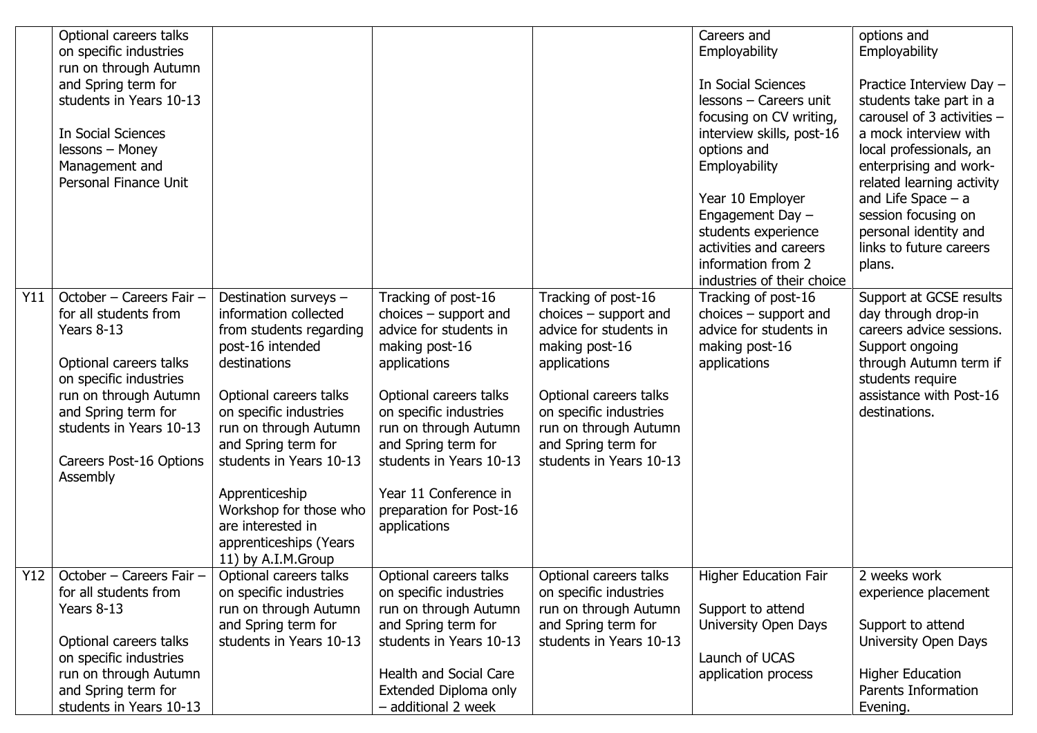| Y11 | Optional careers talks<br>on specific industries<br>run on through Autumn<br>and Spring term for<br>students in Years 10-13<br>In Social Sciences<br>lessons - Money<br>Management and<br>Personal Finance Unit<br>October - Careers Fair - | Destination surveys -                                                                                                                                                                                                                                                                                                                | Tracking of post-16                                                                                                                                                                                                                                                                    | Tracking of post-16                                                                                                                                                                                                | Careers and<br>Employability<br>In Social Sciences<br>lessons - Careers unit<br>focusing on CV writing,<br>interview skills, post-16<br>options and<br>Employability<br>Year 10 Employer<br>Engagement Day -<br>students experience<br>activities and careers<br>information from 2<br>industries of their choice<br>Tracking of post-16 | options and<br>Employability<br>Practice Interview Day -<br>students take part in a<br>carousel of 3 activities -<br>a mock interview with<br>local professionals, an<br>enterprising and work-<br>related learning activity<br>and Life Space $-$ a<br>session focusing on<br>personal identity and<br>links to future careers<br>plans.<br>Support at GCSE results |
|-----|---------------------------------------------------------------------------------------------------------------------------------------------------------------------------------------------------------------------------------------------|--------------------------------------------------------------------------------------------------------------------------------------------------------------------------------------------------------------------------------------------------------------------------------------------------------------------------------------|----------------------------------------------------------------------------------------------------------------------------------------------------------------------------------------------------------------------------------------------------------------------------------------|--------------------------------------------------------------------------------------------------------------------------------------------------------------------------------------------------------------------|------------------------------------------------------------------------------------------------------------------------------------------------------------------------------------------------------------------------------------------------------------------------------------------------------------------------------------------|----------------------------------------------------------------------------------------------------------------------------------------------------------------------------------------------------------------------------------------------------------------------------------------------------------------------------------------------------------------------|
|     | for all students from<br>Years 8-13<br>Optional careers talks<br>on specific industries<br>run on through Autumn<br>and Spring term for<br>students in Years 10-13<br>Careers Post-16 Options<br>Assembly                                   | information collected<br>from students regarding<br>post-16 intended<br>destinations<br>Optional careers talks<br>on specific industries<br>run on through Autumn<br>and Spring term for<br>students in Years 10-13<br>Apprenticeship<br>Workshop for those who<br>are interested in<br>apprenticeships (Years<br>11) by A.I.M.Group | $choices - support$ and<br>advice for students in<br>making post-16<br>applications<br>Optional careers talks<br>on specific industries<br>run on through Autumn<br>and Spring term for<br>students in Years 10-13<br>Year 11 Conference in<br>preparation for Post-16<br>applications | $choices - support$ and<br>advice for students in<br>making post-16<br>applications<br>Optional careers talks<br>on specific industries<br>run on through Autumn<br>and Spring term for<br>students in Years 10-13 | $choices - support and$<br>advice for students in<br>making post-16<br>applications                                                                                                                                                                                                                                                      | day through drop-in<br>careers advice sessions.<br>Support ongoing<br>through Autumn term if<br>students require<br>assistance with Post-16<br>destinations.                                                                                                                                                                                                         |
|     | $\overline{Y12}$ October - Careers Fair -<br>for all students from<br>Years 8-13<br>Optional careers talks<br>on specific industries<br>run on through Autumn<br>and Spring term for<br>students in Years 10-13                             | Optional careers talks<br>on specific industries<br>run on through Autumn<br>and Spring term for<br>students in Years 10-13                                                                                                                                                                                                          | Optional careers talks<br>on specific industries<br>run on through Autumn<br>and Spring term for<br>students in Years 10-13<br><b>Health and Social Care</b><br>Extended Diploma only<br>- additional 2 week                                                                           | Optional careers talks<br>on specific industries<br>run on through Autumn<br>and Spring term for<br>students in Years 10-13                                                                                        | Higher Education Fair<br>Support to attend<br>University Open Days<br>Launch of UCAS<br>application process                                                                                                                                                                                                                              | 2 weeks work<br>experience placement<br>Support to attend<br>University Open Days<br><b>Higher Education</b><br>Parents Information<br>Evening.                                                                                                                                                                                                                      |